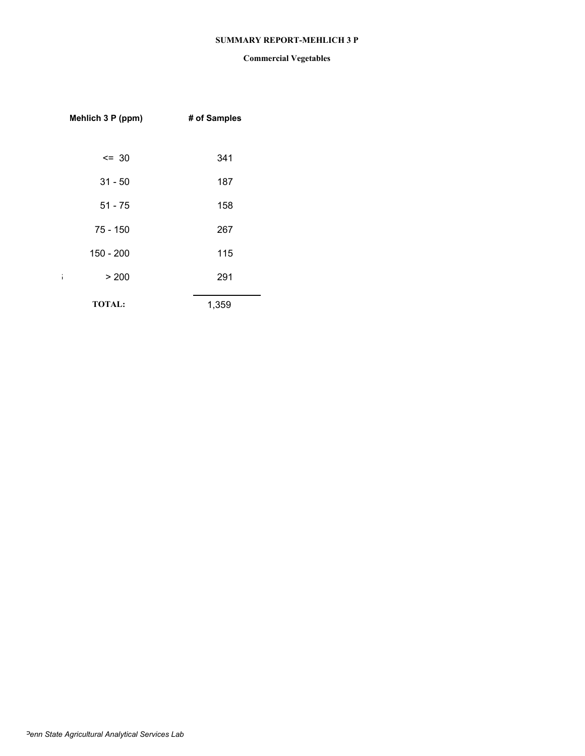### **SUMMARY REPORT-MEHLICH 3 P**

| Mehlich 3 P (ppm) | # of Samples |
|-------------------|--------------|
|                   |              |
| $= 30$            | 341          |
| $31 - 50$         | 187          |
| $51 - 75$         | 158          |
| 75 - 150          | 267          |
| 150 - 200         | 115          |
| > 200<br>î.       | 291          |
| <b>TOTAL:</b>     | 1,359        |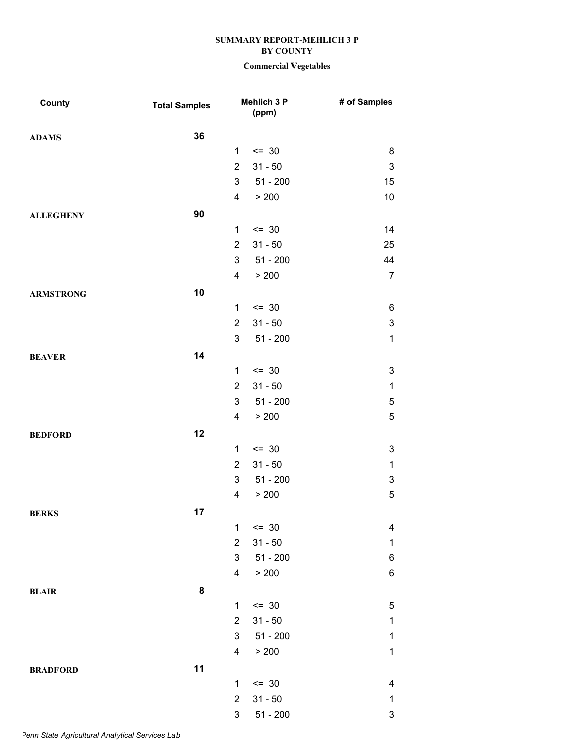## **Commercial Vegetables**

| County           | <b>Total Samples</b> |                           | Mehlich 3 P<br>(ppm) | # of Samples              |
|------------------|----------------------|---------------------------|----------------------|---------------------------|
| <b>ADAMS</b>     | 36                   |                           |                      |                           |
|                  |                      | 1                         | $\leq$ 30            | 8                         |
|                  |                      | $\overline{2}$            | $31 - 50$            | $\ensuremath{\mathsf{3}}$ |
|                  |                      | 3                         | $51 - 200$           | 15                        |
|                  |                      | 4                         | > 200                | 10                        |
| <b>ALLEGHENY</b> | 90                   |                           |                      |                           |
|                  |                      | 1                         | $\leq$ 30            | 14                        |
|                  |                      | $\overline{2}$            | $31 - 50$            | 25                        |
|                  |                      | 3                         | $51 - 200$           | 44                        |
|                  |                      | 4                         | > 200                | $\overline{7}$            |
| <b>ARMSTRONG</b> | 10                   |                           |                      |                           |
|                  |                      | $\mathbf{1}$              | $\leq$ 30            | 6                         |
|                  |                      | $\overline{2}$            | $31 - 50$            | $\ensuremath{\mathsf{3}}$ |
|                  |                      | 3                         | $51 - 200$           | $\mathbf 1$               |
| <b>BEAVER</b>    | 14                   |                           |                      |                           |
|                  |                      | $\mathbf{1}$              | $\leq$ 30            | $\ensuremath{\mathsf{3}}$ |
|                  |                      | $\overline{2}$            | $31 - 50$            | $\mathbf{1}$              |
|                  |                      | 3                         | $51 - 200$           | $\mathbf 5$               |
|                  |                      | 4                         | > 200                | $\sqrt{5}$                |
| <b>BEDFORD</b>   | 12                   |                           |                      |                           |
|                  |                      | 1                         | $\leq$ 30            | $\ensuremath{\mathsf{3}}$ |
|                  |                      | $\overline{2}$            | $31 - 50$            | $\mathbf 1$               |
|                  |                      | 3                         | $51 - 200$           | $\ensuremath{\mathsf{3}}$ |
|                  |                      | 4                         | > 200                | $\mathbf 5$               |
| <b>BERKS</b>     | 17                   |                           |                      |                           |
|                  |                      | 1                         | $\leq$ 30            | 4                         |
|                  |                      | $\overline{2}$            | $31 - 50$            | $\mathbf 1$               |
|                  |                      | 3                         | $51 - 200$           | $\,6$                     |
|                  |                      | 4                         | > 200                | $\,6$                     |
| <b>BLAIR</b>     | 8                    |                           |                      |                           |
|                  |                      | $\mathbf{1}$              | $= 30$               | $\mathbf 5$               |
|                  |                      | $\overline{2}$            | $31 - 50$            | $\mathbf 1$               |
|                  |                      | 3                         | $51 - 200$           | $\mathbf 1$               |
|                  |                      | 4                         | > 200                | $\mathbf 1$               |
| <b>BRADFORD</b>  | 11                   |                           |                      |                           |
|                  |                      | 1                         | $\leq$ 30            | 4                         |
|                  |                      | $\overline{2}$            | $31 - 50$            | $\mathbf 1$               |
|                  |                      | $\ensuremath{\mathsf{3}}$ | $51 - 200$           | $\ensuremath{\mathsf{3}}$ |

*Penn State Agricultural Analytical Services Lab*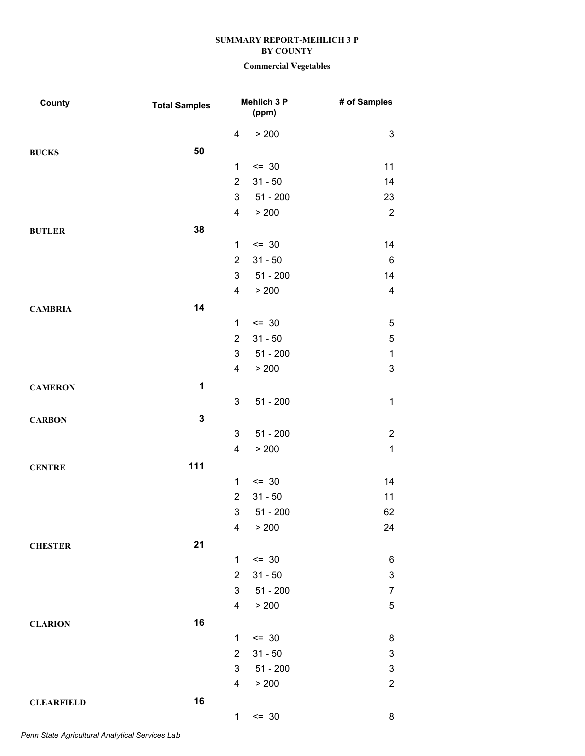| County            | <b>Total Samples</b> |                         | Mehlich 3 P<br>(ppm) | # of Samples              |
|-------------------|----------------------|-------------------------|----------------------|---------------------------|
|                   |                      | $\overline{\mathbf{4}}$ | > 200                | $\ensuremath{\mathsf{3}}$ |
| <b>BUCKS</b>      | 50                   |                         |                      |                           |
|                   |                      | 1                       | $= 30$               | 11                        |
|                   |                      | $\overline{2}$          | $31 - 50$            | 14                        |
|                   |                      | 3                       | $51 - 200$           | 23                        |
|                   |                      | $\overline{\mathbf{4}}$ | > 200                | $\sqrt{2}$                |
| <b>BUTLER</b>     | 38                   |                         |                      |                           |
|                   |                      | 1                       | $= 30$               | 14                        |
|                   |                      | $\overline{2}$          | $31 - 50$            | $\,6$                     |
|                   |                      | 3                       | $51 - 200$           | 14                        |
|                   |                      | 4                       | > 200                | $\overline{4}$            |
| <b>CAMBRIA</b>    | 14                   |                         |                      |                           |
|                   |                      | 1                       | $= 30$               | $\mathbf 5$               |
|                   |                      | $\overline{2}$          | $31 - 50$            | $\mathbf 5$               |
|                   |                      | 3                       | $51 - 200$           | $\mathbf 1$               |
|                   |                      | 4                       | > 200                | $\mathbf 3$               |
| <b>CAMERON</b>    | 1                    |                         |                      |                           |
|                   |                      | 3                       | $51 - 200$           | $\mathbf{1}$              |
| <b>CARBON</b>     | $\mathbf 3$          |                         |                      |                           |
|                   |                      | 3                       | $51 - 200$           | $\sqrt{2}$                |
|                   |                      | $\overline{\mathbf{4}}$ | > 200                | $\mathbf{1}$              |
| <b>CENTRE</b>     | 111                  |                         |                      |                           |
|                   |                      | 1                       | $= 30$               | 14                        |
|                   |                      | $\overline{2}$          | $31 - 50$            | 11                        |
|                   |                      | 3                       | $51 - 200$           | 62                        |
|                   |                      | $\overline{4}$          | > 200                | 24                        |
| <b>CHESTER</b>    | 21                   |                         |                      |                           |
|                   |                      | 1                       | $= 30$               | $\,6$                     |
|                   |                      | $\overline{2}$          | $31 - 50$            | $\ensuremath{\mathsf{3}}$ |
|                   |                      | 3                       | $51 - 200$           | $\boldsymbol{7}$          |
|                   |                      | $\overline{\mathbf{4}}$ | > 200                | $\mathbf 5$               |
| <b>CLARION</b>    | 16                   |                         |                      |                           |
|                   |                      | 1                       | $= 30$               | $\bf 8$                   |
|                   |                      | $\overline{2}$          | $31 - 50$            | $\ensuremath{\mathsf{3}}$ |
|                   |                      | 3                       | $51 - 200$           | $\ensuremath{\mathsf{3}}$ |
|                   |                      | 4                       | > 200                | $\overline{2}$            |
| <b>CLEARFIELD</b> | 16                   |                         |                      |                           |
|                   |                      | $\mathbf 1$             | $= 30$               | 8                         |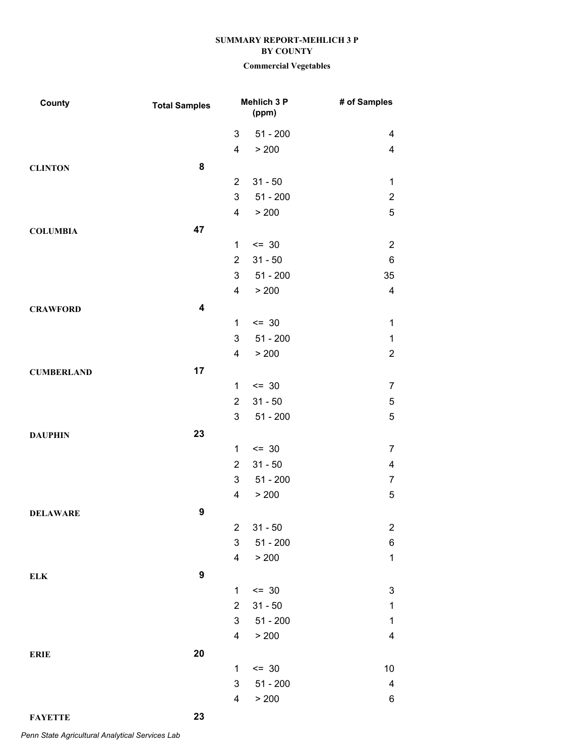## **Commercial Vegetables**

| County            | <b>Total Samples</b>    |                | Mehlich 3 P<br>(ppm) | # of Samples              |
|-------------------|-------------------------|----------------|----------------------|---------------------------|
|                   |                         | 3              | $51 - 200$           | $\overline{4}$            |
|                   |                         | 4              | > 200                | $\overline{\mathbf{4}}$   |
| <b>CLINTON</b>    | 8                       |                |                      |                           |
|                   |                         | $\overline{2}$ | $31 - 50$            | $\mathbf{1}$              |
|                   |                         | 3              | $51 - 200$           | $\sqrt{2}$                |
|                   |                         | 4              | > 200                | $\sqrt{5}$                |
| <b>COLUMBIA</b>   | 47                      |                |                      |                           |
|                   |                         | 1              | $\leq$ 30            | $\overline{2}$            |
|                   |                         | $\overline{2}$ | $31 - 50$            | $\,6$                     |
|                   |                         | 3              | $51 - 200$           | 35                        |
|                   |                         | 4              | > 200                | $\overline{\mathbf{4}}$   |
| <b>CRAWFORD</b>   | $\overline{\mathbf{4}}$ |                |                      |                           |
|                   |                         | 1              | $= 30$               | $\mathbf{1}$              |
|                   |                         | 3              | $51 - 200$           | $\mathbf{1}$              |
|                   |                         | 4              | > 200                | $\overline{2}$            |
| <b>CUMBERLAND</b> | 17                      |                |                      |                           |
|                   |                         | 1              | $= 30$               | $\overline{7}$            |
|                   |                         | $\overline{2}$ | $31 - 50$            | $\mathbf 5$               |
|                   |                         | 3              | $51 - 200$           | $\sqrt{5}$                |
| <b>DAUPHIN</b>    | 23                      |                |                      |                           |
|                   |                         | 1              | $= 30$               | $\overline{7}$            |
|                   |                         | $\overline{2}$ | $31 - 50$            | $\overline{\mathbf{4}}$   |
|                   |                         | 3              | $51 - 200$           | $\overline{7}$            |
|                   |                         | 4              | > 200                | $\mathbf 5$               |
| <b>DELAWARE</b>   | 9                       |                |                      |                           |
|                   |                         | 2              | $31 - 50$            | $\overline{a}$            |
|                   |                         | 3              | $51 - 200$           | $\,6$                     |
|                   |                         | 4              | > 200                | $\mathbf{1}$              |
| ELK               | 9                       |                |                      |                           |
|                   |                         | $\mathbf{1}$   | $\leq$ 30            | $\ensuremath{\mathsf{3}}$ |
|                   |                         | $\overline{2}$ | $31 - 50$            | $\mathbf 1$               |
|                   |                         | 3              | $51 - 200$           | $\mathbf 1$               |
|                   |                         | 4              | > 200                | $\overline{\mathbf{4}}$   |
| <b>ERIE</b>       | 20                      |                |                      |                           |
|                   |                         | $\mathbf 1$    | $= 30$               | 10                        |
|                   |                         | 3              | $51 - 200$           | $\overline{\mathbf{4}}$   |
|                   |                         | 4              | > 200                | $\,6$                     |
|                   |                         |                |                      |                           |

*Penn State Agricultural Analytical Services Lab*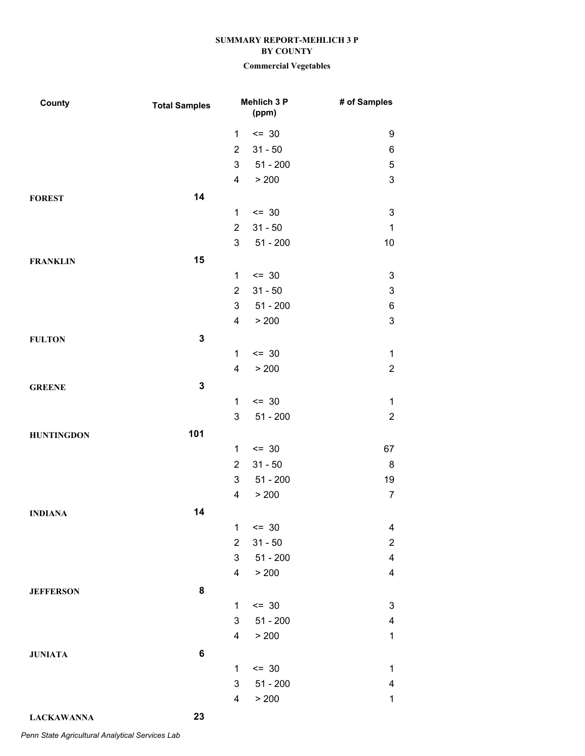| County            | <b>Total Samples</b> |                | Mehlich 3 P<br>(ppm) | # of Samples                           |
|-------------------|----------------------|----------------|----------------------|----------------------------------------|
|                   |                      | 1              | $= 30$               | 9                                      |
|                   |                      | $\overline{2}$ | $31 - 50$            | 6                                      |
|                   |                      | 3              | $51 - 200$           | $\mathbf 5$                            |
|                   |                      | $\overline{4}$ | > 200                | $\mathbf{3}$                           |
| <b>FOREST</b>     | 14                   |                |                      |                                        |
|                   |                      | 1              | $\leq$ 30            | $\ensuremath{\mathsf{3}}$              |
|                   |                      | $\overline{2}$ | $31 - 50$            | $\mathbf{1}$                           |
|                   |                      | 3              | $51 - 200$           | 10                                     |
| <b>FRANKLIN</b>   | 15                   |                |                      |                                        |
|                   |                      | 1              | $\leq$ 30            | $\sqrt{3}$                             |
|                   |                      | $\overline{2}$ | $31 - 50$            | $\ensuremath{\mathsf{3}}$              |
|                   |                      | 3              | $51 - 200$           | $\,6$                                  |
|                   |                      | 4              | > 200                | $\mathbf 3$                            |
| <b>FULTON</b>     | $\mathbf 3$          |                |                      |                                        |
|                   |                      | $\mathbf 1$    | $= 30$               | $\mathbf{1}$                           |
|                   |                      | 4              | > 200                | $\boldsymbol{2}$                       |
| <b>GREENE</b>     | $\mathbf 3$          |                |                      |                                        |
|                   |                      | 1              | $= 30$               | $\mathbf 1$                            |
|                   |                      | 3              | $51 - 200$           | $\boldsymbol{2}$                       |
| <b>HUNTINGDON</b> | 101                  |                |                      |                                        |
|                   |                      | 1              | $= 30$               | 67                                     |
|                   |                      | $\overline{2}$ | $31 - 50$            | 8                                      |
|                   |                      | 3              | $51 - 200$           | 19                                     |
|                   |                      | 4              | > 200                | $\boldsymbol{7}$                       |
| <b>INDIANA</b>    | 14                   |                |                      |                                        |
|                   |                      | 1              | $= 30$               | 4                                      |
|                   |                      | $\overline{2}$ | $31 - 50$            | $\overline{c}$                         |
|                   |                      | 3              | $51 - 200$           | $\overline{\mathbf{4}}$                |
|                   |                      | 4              | > 200                | $\overline{\mathbf{4}}$                |
| <b>JEFFERSON</b>  | 8                    |                |                      |                                        |
|                   |                      | 1              | $= 30$               | $\ensuremath{\mathsf{3}}$              |
|                   |                      | 3              | $51 - 200$           | $\overline{\mathcal{A}}$               |
|                   |                      | 4              | > 200                | $\mathbf{1}$                           |
| <b>JUNIATA</b>    | 6                    |                |                      |                                        |
|                   |                      | $\mathbf{1}$   | $= 30$               | $\mathbf{1}$                           |
|                   |                      | 3<br>4         | $51 - 200$<br>> 200  | $\overline{\mathbf{4}}$<br>$\mathbf 1$ |
|                   |                      |                |                      |                                        |
| <b>LACKAWANNA</b> | 23                   |                |                      |                                        |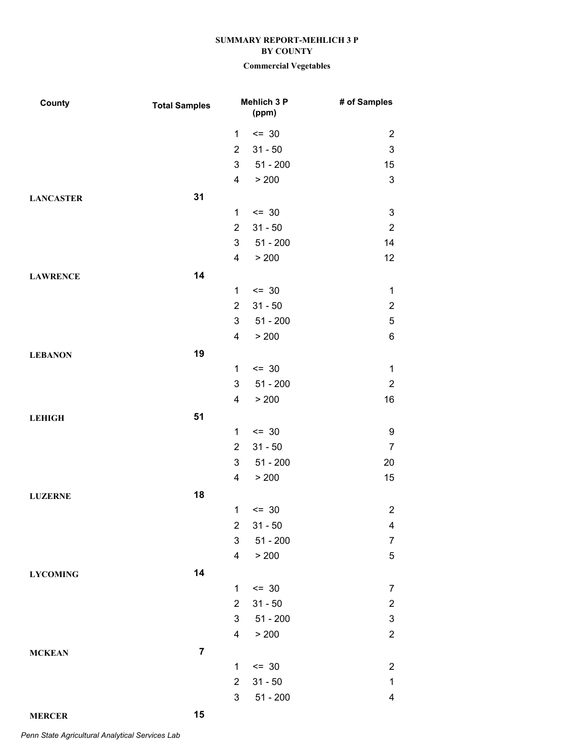# **Commercial Vegetables**

| County           | <b>Total Samples</b> |                | <b>Mehlich 3 P</b><br>(ppm) | # of Samples              |
|------------------|----------------------|----------------|-----------------------------|---------------------------|
|                  |                      | 1              | $= 30$                      | $\overline{c}$            |
|                  |                      | $\overline{2}$ | $31 - 50$                   | $\ensuremath{\mathsf{3}}$ |
|                  |                      | 3              | $51 - 200$                  | 15                        |
|                  |                      | 4              | > 200                       | $\mathbf{3}$              |
| <b>LANCASTER</b> | 31                   |                |                             |                           |
|                  |                      | 1              | $\leq$ 30                   | $\ensuremath{\mathsf{3}}$ |
|                  |                      | $\overline{2}$ | $31 - 50$                   | $\sqrt{2}$                |
|                  |                      | 3              | $51 - 200$                  | 14                        |
|                  |                      | 4              | > 200                       | 12                        |
| <b>LAWRENCE</b>  | 14                   |                |                             |                           |
|                  |                      | $\mathbf{1}$   | $\leq$ 30                   | $\mathbf{1}$              |
|                  |                      | $\overline{2}$ | $31 - 50$                   | $\boldsymbol{2}$          |
|                  |                      | 3              | $51 - 200$                  | $\mathbf 5$               |
|                  |                      | 4              | > 200                       | $\,6$                     |
| <b>LEBANON</b>   | 19                   |                |                             |                           |
|                  |                      | 1              | $\leq$ 30                   | $\mathbf 1$               |
|                  |                      | 3              | $51 - 200$                  | $\sqrt{2}$                |
|                  |                      | 4              | > 200                       | 16                        |
| <b>LEHIGH</b>    | 51                   |                |                             |                           |
|                  |                      | $\mathbf{1}$   | $\leq$ 30                   | 9                         |
|                  |                      | $\overline{2}$ | $31 - 50$                   | $\overline{7}$            |
|                  |                      | 3              | $51 - 200$                  | 20                        |
|                  |                      | 4              | > 200                       | 15                        |
| <b>LUZERNE</b>   | 18                   |                |                             |                           |
|                  |                      | 1              | $= 30$                      | $\overline{2}$            |
|                  |                      | $\overline{2}$ | $31 - 50$                   | $\overline{4}$            |
|                  |                      | 3              | $51 - 200$                  | $\overline{7}$            |
|                  |                      | 4              | > 200                       | $\mathbf 5$               |
| <b>LYCOMING</b>  | 14                   |                |                             |                           |
|                  |                      | $\mathbf{1}$   | $= 30$                      | $\overline{7}$            |
|                  |                      | $\overline{2}$ | $31 - 50$                   | $\boldsymbol{2}$          |
|                  |                      | $\mathfrak{S}$ | $51 - 200$                  | $\ensuremath{\mathsf{3}}$ |
|                  |                      | $\overline{4}$ | > 200                       | $\overline{c}$            |
| <b>MCKEAN</b>    | $\overline{7}$       |                |                             |                           |
|                  |                      | 1              | $= 30$                      | $\overline{2}$            |
|                  |                      | $\overline{2}$ | $31 - 50$                   | $\mathbf{1}$              |
|                  |                      | 3              | $51 - 200$                  | $\overline{\mathbf{4}}$   |
| <b>MERCER</b>    | 15                   |                |                             |                           |

*Penn State Agricultural Analytical Services Lab*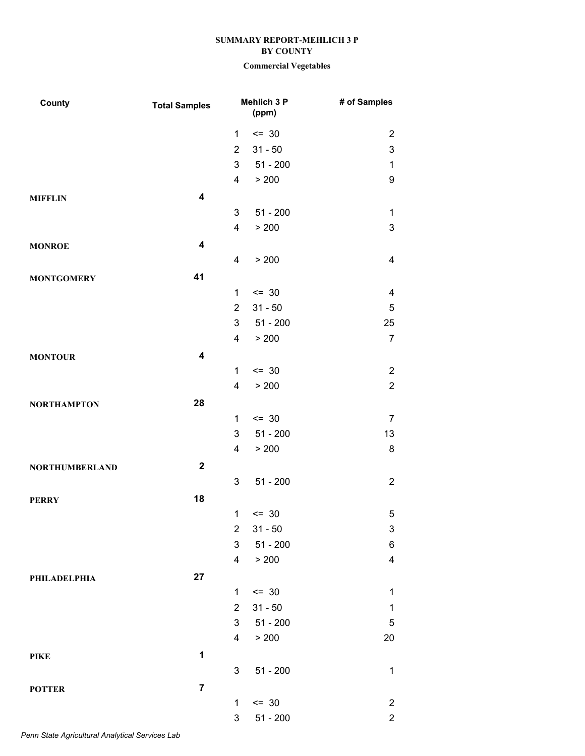| County                | <b>Total Samples</b>    |                | Mehlich 3 P<br>(ppm) | # of Samples              |
|-----------------------|-------------------------|----------------|----------------------|---------------------------|
|                       |                         | 1              | $= 30$               | $\overline{2}$            |
|                       |                         | $\overline{2}$ | $31 - 50$            | $\ensuremath{\mathsf{3}}$ |
|                       |                         | 3              | $51 - 200$           | $\mathbf 1$               |
|                       |                         | 4              | > 200                | $\boldsymbol{9}$          |
| <b>MIFFLIN</b>        | $\overline{\mathbf{4}}$ |                |                      |                           |
|                       |                         | 3              | $51 - 200$           | $\mathbf 1$               |
|                       |                         | 4              | > 200                | 3                         |
| <b>MONROE</b>         | $\overline{\mathbf{4}}$ |                |                      |                           |
|                       |                         | 4              | > 200                | $\overline{\mathbf{4}}$   |
| <b>MONTGOMERY</b>     | 41                      |                |                      |                           |
|                       |                         | $\mathbf{1}$   | $\leq$ 30            | $\overline{\mathbf{4}}$   |
|                       |                         | $\overline{2}$ | $31 - 50$            | $\mathbf 5$               |
|                       |                         | 3              | $51 - 200$           | 25                        |
|                       |                         | 4              | > 200                | $\overline{7}$            |
| <b>MONTOUR</b>        | $\overline{\mathbf{4}}$ |                |                      |                           |
|                       |                         | 1              | $= 30$               | $\sqrt{2}$                |
|                       |                         | 4              | > 200                | $\overline{2}$            |
| <b>NORTHAMPTON</b>    | 28                      |                |                      |                           |
|                       |                         | 1              | $= 30$               | $\overline{7}$            |
|                       |                         | 3              | $51 - 200$           | 13                        |
|                       |                         | 4              | > 200                | $\bf 8$                   |
| <b>NORTHUMBERLAND</b> | $\boldsymbol{2}$        |                |                      |                           |
|                       |                         | 3              | $51 - 200$           | $\overline{2}$            |
| <b>PERRY</b>          | 18                      |                |                      |                           |
|                       |                         | $\mathbf 1$    | $= 30$               | $\mathbf 5$               |
|                       |                         | $\overline{2}$ | $31 - 50$            | $\ensuremath{\mathsf{3}}$ |
|                       |                         | 3              | $51 - 200$           | $\,6$                     |
|                       |                         | 4              | > 200                | $\overline{\mathbf{4}}$   |
| <b>PHILADELPHIA</b>   | 27                      |                |                      |                           |
|                       |                         | 1              | $\leq$ 30            | $\mathbf 1$               |
|                       |                         | $\overline{2}$ | $31 - 50$            | $\mathbf 1$               |
|                       |                         | 3              | $51 - 200$           | $\sqrt{5}$                |
|                       |                         | 4              | > 200                | 20                        |
| <b>PIKE</b>           | 1                       |                |                      |                           |
|                       |                         | 3              | $51 - 200$           | $\mathbf 1$               |
| <b>POTTER</b>         | $\overline{7}$          |                |                      |                           |
|                       |                         | $\mathbf{1}$   | $= 30$               | $\overline{c}$            |
|                       |                         | 3              | $51 - 200$           | $\overline{c}$            |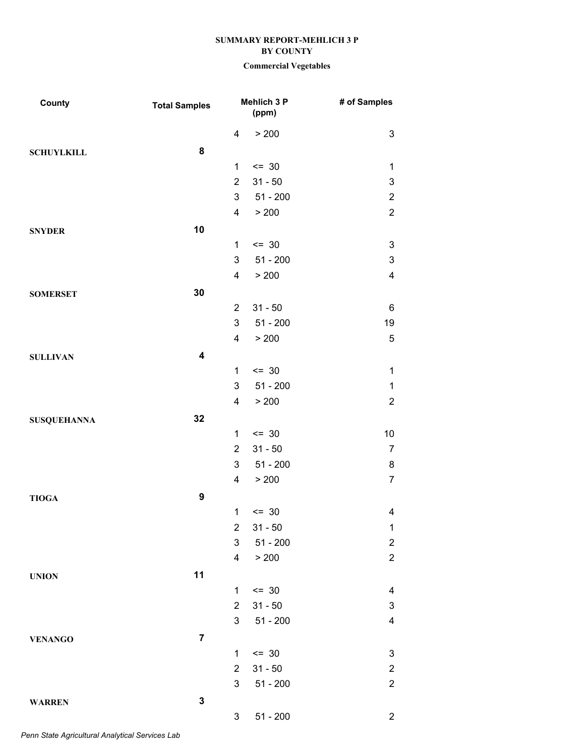| County             | <b>Total Samples</b>    |                         | Mehlich 3 P<br>(ppm) | # of Samples              |
|--------------------|-------------------------|-------------------------|----------------------|---------------------------|
|                    |                         | 4                       | > 200                | 3                         |
| <b>SCHUYLKILL</b>  | 8                       |                         |                      |                           |
|                    |                         | 1                       | $= 30$               | $\mathbf 1$               |
|                    |                         | $\overline{2}$          | $31 - 50$            | 3                         |
|                    |                         | 3                       | $51 - 200$           | $\overline{2}$            |
|                    |                         | $\overline{\mathbf{4}}$ | > 200                | $\overline{2}$            |
| <b>SNYDER</b>      | 10                      |                         |                      |                           |
|                    |                         | $\mathbf{1}$            | $\leq$ 30            | $\ensuremath{\mathsf{3}}$ |
|                    |                         | 3                       | $51 - 200$           | $\ensuremath{\mathsf{3}}$ |
|                    |                         | 4                       | > 200                | $\overline{\mathbf{4}}$   |
| <b>SOMERSET</b>    | 30                      |                         |                      |                           |
|                    |                         | $\overline{2}$          | $31 - 50$            | 6                         |
|                    |                         | 3                       | $51 - 200$           | 19                        |
|                    |                         | $\overline{\mathbf{4}}$ | > 200                | $\mathbf 5$               |
| <b>SULLIVAN</b>    | $\overline{\mathbf{4}}$ |                         |                      |                           |
|                    |                         | $\mathbf{1}$            | $= 30$               | $\mathbf 1$               |
|                    |                         | 3                       | $51 - 200$           | $\mathbf{1}$              |
|                    |                         | 4                       | > 200                | $\overline{2}$            |
| <b>SUSQUEHANNA</b> | 32                      |                         |                      |                           |
|                    |                         | $\mathbf{1}$            | $\leq$ 30            | $10\,$                    |
|                    |                         | $\overline{2}$          | $31 - 50$            | $\overline{7}$            |
|                    |                         | 3                       | $51 - 200$           | 8                         |
|                    |                         | 4                       | > 200                | $\overline{7}$            |
| <b>TIOGA</b>       | 9                       |                         |                      |                           |
|                    |                         | $\mathbf{1}$            | $= 30$               | $\overline{\mathbf{4}}$   |
|                    |                         | 2                       | $31 - 50$            | 1                         |
|                    |                         | $\mathfrak{S}$          | $51 - 200$           | $\overline{c}$            |
|                    |                         | 4                       | > 200                | $\overline{2}$            |
| <b>UNION</b>       | 11                      |                         |                      |                           |
|                    |                         | 1                       | $\leq$ 30            | 4                         |
|                    |                         | $\overline{2}$          | $31 - 50$            | $\ensuremath{\mathsf{3}}$ |
|                    |                         | 3                       | $51 - 200$           | $\overline{\mathbf{4}}$   |
| <b>VENANGO</b>     | $\overline{7}$          |                         |                      |                           |
|                    |                         | 1                       | $= 30$               | $\ensuremath{\mathsf{3}}$ |
|                    |                         | $\overline{2}$          | $31 - 50$            | $\overline{c}$            |
|                    |                         | 3                       | $51 - 200$           | $\overline{2}$            |
| <b>WARREN</b>      | $\mathbf 3$             |                         |                      |                           |
|                    |                         | 3                       | $51 - 200$           | $\overline{2}$            |